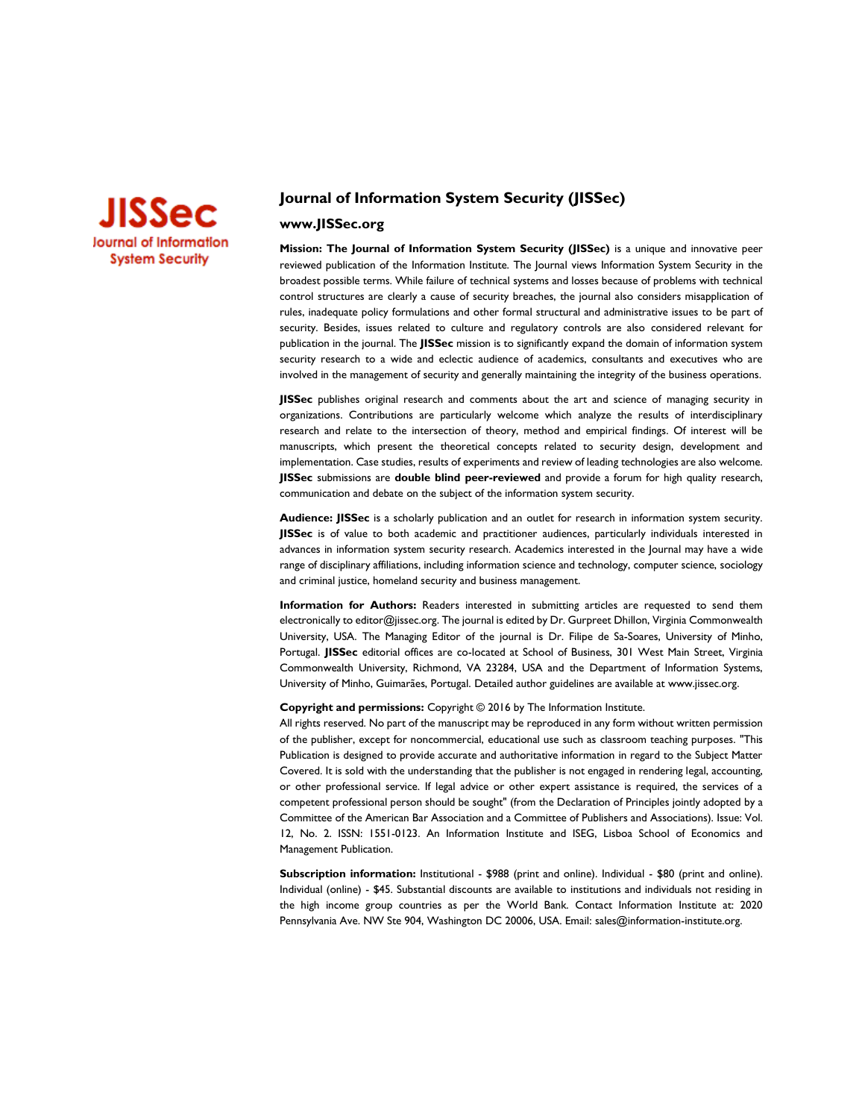

# **Journal of Information System Security (JISSec)**

## **www.JISSec.org**

**Mission: The Journal of Information System Security (JISSec)** is a unique and innovative peer reviewed publication of the Information Institute. The Journal views Information System Security in the broadest possible terms. While failure of technical systems and losses because of problems with technical control structures are clearly a cause of security breaches, the journal also considers misapplication of rules, inadequate policy formulations and other formal structural and administrative issues to be part of security. Besides, issues related to culture and regulatory controls are also considered relevant for publication in the journal. The **JISSec** mission is to significantly expand the domain of information system security research to a wide and eclectic audience of academics, consultants and executives who are involved in the management of security and generally maintaining the integrity of the business operations.

**JISSec** publishes original research and comments about the art and science of managing security in organizations. Contributions are particularly welcome which analyze the results of interdisciplinary research and relate to the intersection of theory, method and empirical findings. Of interest will be manuscripts, which present the theoretical concepts related to security design, development and implementation. Case studies, results of experiments and review of leading technologies are also welcome. **JISSec** submissions are **double blind peer-reviewed** and provide a forum for high quality research, communication and debate on the subject of the information system security.

**Audience: JISSec** is a scholarly publication and an outlet for research in information system security. **JISSec** is of value to both academic and practitioner audiences, particularly individuals interested in advances in information system security research. Academics interested in the Journal may have a wide range of disciplinary affiliations, including information science and technology, computer science, sociology and criminal justice, homeland security and business management.

**Information for Authors:** Readers interested in submitting articles are requested to send them electronically to editor@jissec.org. The journal is edited by Dr. Gurpreet Dhillon, Virginia Commonwealth University, USA. The Managing Editor of the journal is Dr. Filipe de Sa-Soares, University of Minho, Portugal. **JISSec** editorial offices are co-located at School of Business, 301 West Main Street, Virginia Commonwealth University, Richmond, VA 23284, USA and the Department of Information Systems, University of Minho, Guimarães, Portugal. Detailed author guidelines are available at www.jissec.org.

#### **Copyright and permissions:** Copyright © 2016 by The Information Institute.

All rights reserved. No part of the manuscript may be reproduced in any form without written permission of the publisher, except for noncommercial, educational use such as classroom teaching purposes. "This Publication is designed to provide accurate and authoritative information in regard to the Subject Matter Covered. It is sold with the understanding that the publisher is not engaged in rendering legal, accounting, or other professional service. If legal advice or other expert assistance is required, the services of a competent professional person should be sought" (from the Declaration of Principles jointly adopted by a Committee of the American Bar Association and a Committee of Publishers and Associations). Issue: Vol. 12, No. 2. ISSN: 1551-0123. An Information Institute and ISEG, Lisboa School of Economics and Management Publication.

**Subscription information:** Institutional - \$988 (print and online). Individual - \$80 (print and online). Individual (online) - \$45. Substantial discounts are available to institutions and individuals not residing in the high income group countries as per the World Bank. Contact Information Institute at: 2020 Pennsylvania Ave. NW Ste 904, Washington DC 20006, USA. Email[: sales@information-institute.org.](mailto:sales@information-institute.org)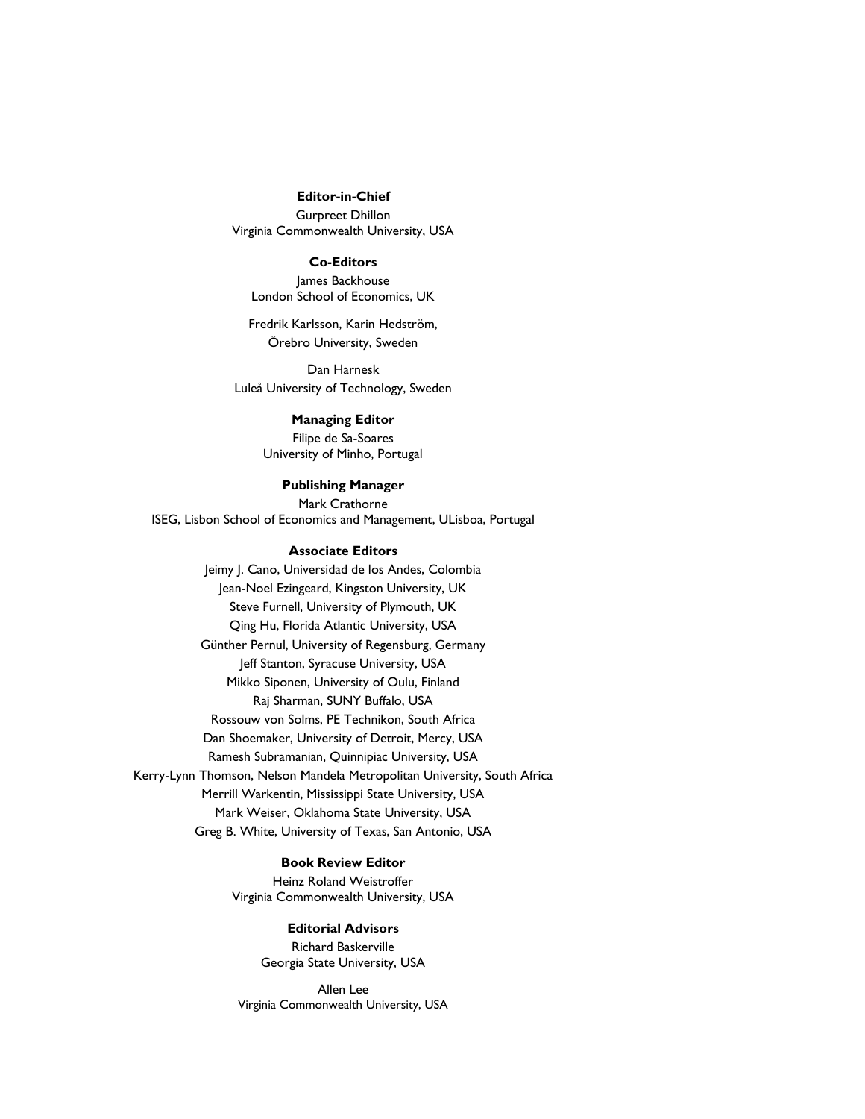### **Editor-in-Chief**

Gurpreet Dhillon Virginia Commonwealth University, USA

#### **Co-Editors**

James Backhouse London School of Economics, UK

Fredrik Karlsson, Karin Hedström, Örebro University, Sweden

Dan Harnesk Luleå University of Technology, Sweden

## **Managing Editor**

Filipe de Sa-Soares University of Minho, Portugal

## **Publishing Manager**

Mark Crathorne ISEG, Lisbon School of Economics and Management, ULisboa, Portugal

## **Associate Editors**

Jeimy J. Cano, Universidad de los Andes, Colombia Jean-Noel Ezingeard, Kingston University, UK Steve Furnell, University of Plymouth, UK Qing Hu, Florida Atlantic University, USA Günther Pernul, University of Regensburg, Germany Jeff Stanton, Syracuse University, USA Mikko Siponen, University of Oulu, Finland Raj Sharman, SUNY Buffalo, USA Rossouw von Solms, PE Technikon, South Africa Dan Shoemaker, University of Detroit, Mercy, USA Ramesh Subramanian, Quinnipiac University, USA Kerry-Lynn Thomson, Nelson Mandela Metropolitan University, South Africa Merrill Warkentin, Mississippi State University, USA Mark Weiser, Oklahoma State University, USA Greg B. White, University of Texas, San Antonio, USA

# **Book Review Editor**

Heinz Roland Weistroffer Virginia Commonwealth University, USA

#### **Editorial Advisors**

Richard Baskerville Georgia State University, USA

Allen Lee Virginia Commonwealth University, USA